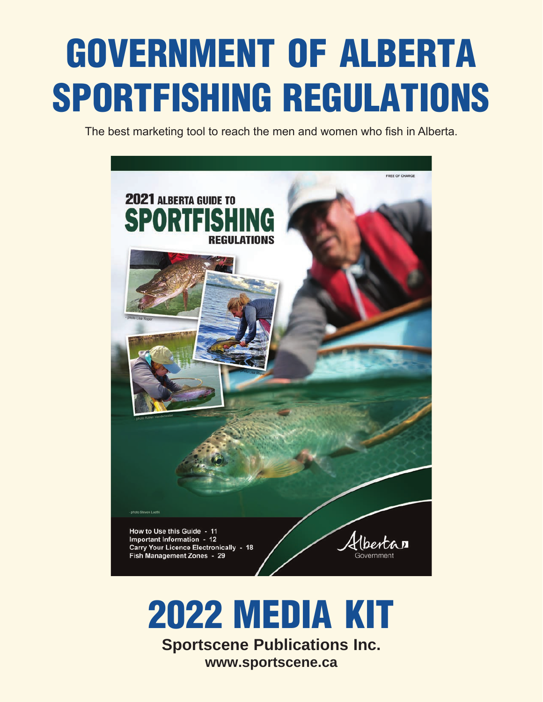# GOVERNMENT OF ALBERTA SPORTFISHING REGULATIONS

The best marketing tool to reach the men and women who fish in Alberta.



# 2022 MEDIA KIT

**Sportscene Publications Inc. www.sportscene.ca**